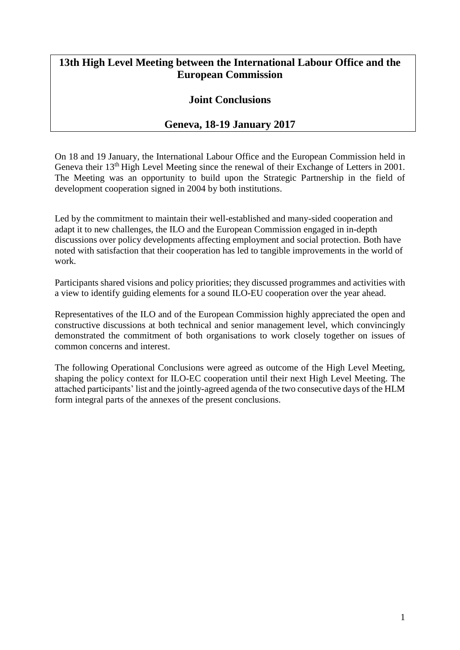## **13th High Level Meeting between the International Labour Office and the European Commission**

## **Joint Conclusions**

## **Geneva, 18-19 January 2017**

On 18 and 19 January, the International Labour Office and the European Commission held in Geneva their 13<sup>th</sup> High Level Meeting since the renewal of their Exchange of Letters in 2001. The Meeting was an opportunity to build upon the Strategic Partnership in the field of development cooperation signed in 2004 by both institutions.

Led by the commitment to maintain their well-established and many-sided cooperation and adapt it to new challenges, the ILO and the European Commission engaged in in-depth discussions over policy developments affecting employment and social protection. Both have noted with satisfaction that their cooperation has led to tangible improvements in the world of work.

Participants shared visions and policy priorities; they discussed programmes and activities with a view to identify guiding elements for a sound ILO-EU cooperation over the year ahead.

Representatives of the ILO and of the European Commission highly appreciated the open and constructive discussions at both technical and senior management level, which convincingly demonstrated the commitment of both organisations to work closely together on issues of common concerns and interest.

The following Operational Conclusions were agreed as outcome of the High Level Meeting, shaping the policy context for ILO-EC cooperation until their next High Level Meeting. The attached participants' list and the jointly-agreed agenda of the two consecutive days of the HLM form integral parts of the annexes of the present conclusions.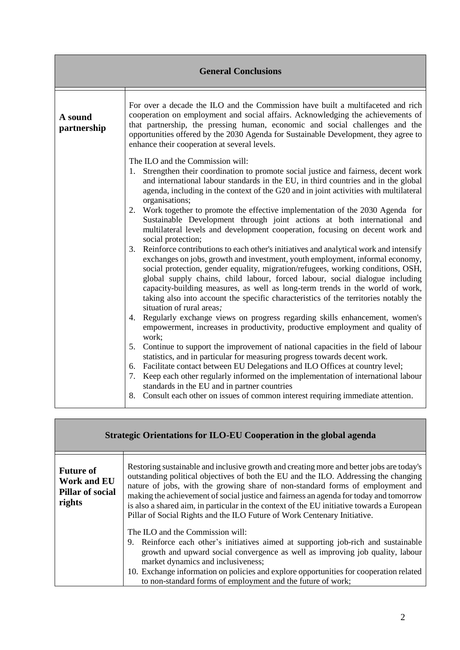| <b>General Conclusions</b> |                                                                                                                                                                                                                                                                                                                                                                                                                                                                                                                                                                                                                                                                                                                                                                                                                                                                                                                                                                                                                                                                                                                                                                                                                                                                                                                                                                                                                                                                                                                                                                                                                                                                                                                                                                                                                                     |
|----------------------------|-------------------------------------------------------------------------------------------------------------------------------------------------------------------------------------------------------------------------------------------------------------------------------------------------------------------------------------------------------------------------------------------------------------------------------------------------------------------------------------------------------------------------------------------------------------------------------------------------------------------------------------------------------------------------------------------------------------------------------------------------------------------------------------------------------------------------------------------------------------------------------------------------------------------------------------------------------------------------------------------------------------------------------------------------------------------------------------------------------------------------------------------------------------------------------------------------------------------------------------------------------------------------------------------------------------------------------------------------------------------------------------------------------------------------------------------------------------------------------------------------------------------------------------------------------------------------------------------------------------------------------------------------------------------------------------------------------------------------------------------------------------------------------------------------------------------------------------|
| A sound<br>partnership     | For over a decade the ILO and the Commission have built a multifaceted and rich<br>cooperation on employment and social affairs. Acknowledging the achievements of<br>that partnership, the pressing human, economic and social challenges and the<br>opportunities offered by the 2030 Agenda for Sustainable Development, they agree to<br>enhance their cooperation at several levels.                                                                                                                                                                                                                                                                                                                                                                                                                                                                                                                                                                                                                                                                                                                                                                                                                                                                                                                                                                                                                                                                                                                                                                                                                                                                                                                                                                                                                                           |
|                            | The ILO and the Commission will:<br>Strengthen their coordination to promote social justice and fairness, decent work<br>1.<br>and international labour standards in the EU, in third countries and in the global<br>agenda, including in the context of the G20 and in joint activities with multilateral<br>organisations;<br>Work together to promote the effective implementation of the 2030 Agenda for<br>2.<br>Sustainable Development through joint actions at both international and<br>multilateral levels and development cooperation, focusing on decent work and<br>social protection;<br>Reinforce contributions to each other's initiatives and analytical work and intensify<br>3.<br>exchanges on jobs, growth and investment, youth employment, informal economy,<br>social protection, gender equality, migration/refugees, working conditions, OSH,<br>global supply chains, child labour, forced labour, social dialogue including<br>capacity-building measures, as well as long-term trends in the world of work,<br>taking also into account the specific characteristics of the territories notably the<br>situation of rural areas;<br>4. Regularly exchange views on progress regarding skills enhancement, women's<br>empowerment, increases in productivity, productive employment and quality of<br>work;<br>Continue to support the improvement of national capacities in the field of labour<br>5.<br>statistics, and in particular for measuring progress towards decent work.<br>6. Facilitate contact between EU Delegations and ILO Offices at country level;<br>Keep each other regularly informed on the implementation of international labour<br>7.<br>standards in the EU and in partner countries<br>Consult each other on issues of common interest requiring immediate attention.<br>8. |

| Strategic Orientations for ILO-EU Cooperation in the global agenda          |                                                                                                                                                                                                                                                                                                                                                                                                                                                                                                                                        |
|-----------------------------------------------------------------------------|----------------------------------------------------------------------------------------------------------------------------------------------------------------------------------------------------------------------------------------------------------------------------------------------------------------------------------------------------------------------------------------------------------------------------------------------------------------------------------------------------------------------------------------|
| <b>Future of</b><br><b>Work and EU</b><br><b>Pillar of social</b><br>rights | Restoring sustainable and inclusive growth and creating more and better jobs are today's<br>outstanding political objectives of both the EU and the ILO. Addressing the changing<br>nature of jobs, with the growing share of non-standard forms of employment and<br>making the achievement of social justice and fairness an agenda for today and tomorrow<br>is also a shared aim, in particular in the context of the EU initiative towards a European<br>Pillar of Social Rights and the ILO Future of Work Centenary Initiative. |
|                                                                             | The ILO and the Commission will:<br>9. Reinforce each other's initiatives aimed at supporting job-rich and sustainable<br>growth and upward social convergence as well as improving job quality, labour<br>market dynamics and inclusiveness;<br>10. Exchange information on policies and explore opportunities for cooperation related<br>to non-standard forms of employment and the future of work;                                                                                                                                 |

Г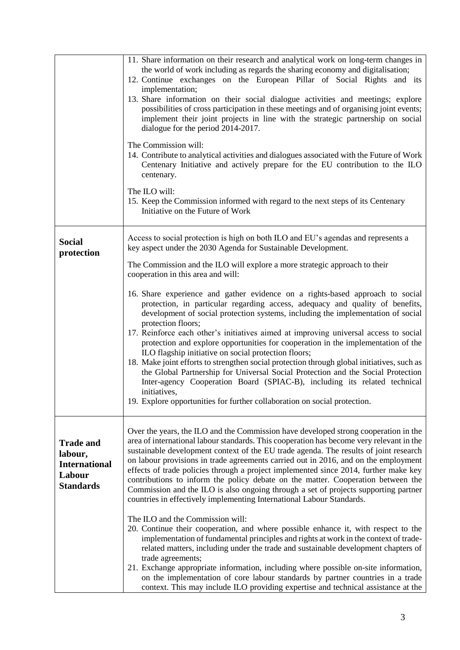|                                                                                   | 11. Share information on their research and analytical work on long-term changes in<br>the world of work including as regards the sharing economy and digitalisation;<br>12. Continue exchanges on the European Pillar of Social Rights and its<br>implementation;<br>13. Share information on their social dialogue activities and meetings; explore<br>possibilities of cross participation in these meetings and of organising joint events;<br>implement their joint projects in line with the strategic partnership on social<br>dialogue for the period 2014-2017.<br>The Commission will:<br>14. Contribute to analytical activities and dialogues associated with the Future of Work<br>Centenary Initiative and actively prepare for the EU contribution to the ILO<br>centenary.<br>The ILO will:<br>15. Keep the Commission informed with regard to the next steps of its Centenary<br>Initiative on the Future of Work                                                                                                                                                                                                                                                                                                                                                                     |
|-----------------------------------------------------------------------------------|--------------------------------------------------------------------------------------------------------------------------------------------------------------------------------------------------------------------------------------------------------------------------------------------------------------------------------------------------------------------------------------------------------------------------------------------------------------------------------------------------------------------------------------------------------------------------------------------------------------------------------------------------------------------------------------------------------------------------------------------------------------------------------------------------------------------------------------------------------------------------------------------------------------------------------------------------------------------------------------------------------------------------------------------------------------------------------------------------------------------------------------------------------------------------------------------------------------------------------------------------------------------------------------------------------|
| <b>Social</b><br>protection                                                       | Access to social protection is high on both ILO and EU's agendas and represents a<br>key aspect under the 2030 Agenda for Sustainable Development.<br>The Commission and the ILO will explore a more strategic approach to their<br>cooperation in this area and will:<br>16. Share experience and gather evidence on a rights-based approach to social<br>protection, in particular regarding access, adequacy and quality of benefits,<br>development of social protection systems, including the implementation of social<br>protection floors;<br>17. Reinforce each other's initiatives aimed at improving universal access to social<br>protection and explore opportunities for cooperation in the implementation of the<br>ILO flagship initiative on social protection floors;<br>18. Make joint efforts to strengthen social protection through global initiatives, such as<br>the Global Partnership for Universal Social Protection and the Social Protection<br>Inter-agency Cooperation Board (SPIAC-B), including its related technical<br>initiatives,<br>19. Explore opportunities for further collaboration on social protection.                                                                                                                                                    |
| <b>Trade and</b><br>labour,<br><b>International</b><br>Labour<br><b>Standards</b> | Over the years, the ILO and the Commission have developed strong cooperation in the<br>area of international labour standards. This cooperation has become very relevant in the<br>sustainable development context of the EU trade agenda. The results of joint research<br>on labour provisions in trade agreements carried out in 2016, and on the employment<br>effects of trade policies through a project implemented since 2014, further make key<br>contributions to inform the policy debate on the matter. Cooperation between the<br>Commission and the ILO is also ongoing through a set of projects supporting partner<br>countries in effectively implementing International Labour Standards.<br>The ILO and the Commission will:<br>20. Continue their cooperation, and where possible enhance it, with respect to the<br>implementation of fundamental principles and rights at work in the context of trade-<br>related matters, including under the trade and sustainable development chapters of<br>trade agreements;<br>21. Exchange appropriate information, including where possible on-site information,<br>on the implementation of core labour standards by partner countries in a trade<br>context. This may include ILO providing expertise and technical assistance at the |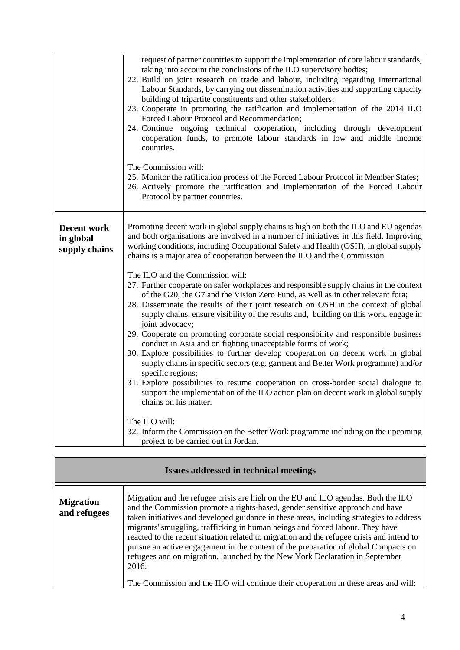|                                                  | request of partner countries to support the implementation of core labour standards,<br>taking into account the conclusions of the ILO supervisory bodies;<br>22. Build on joint research on trade and labour, including regarding International<br>Labour Standards, by carrying out dissemination activities and supporting capacity<br>building of tripartite constituents and other stakeholders;<br>23. Cooperate in promoting the ratification and implementation of the 2014 ILO<br>Forced Labour Protocol and Recommendation;<br>24. Continue ongoing technical cooperation, including through development<br>cooperation funds, to promote labour standards in low and middle income<br>countries.<br>The Commission will:<br>25. Monitor the ratification process of the Forced Labour Protocol in Member States;<br>26. Actively promote the ratification and implementation of the Forced Labour<br>Protocol by partner countries.                                                                                                                                                                                                                                                                                                                                                                                                                                                                                                                                |
|--------------------------------------------------|-------------------------------------------------------------------------------------------------------------------------------------------------------------------------------------------------------------------------------------------------------------------------------------------------------------------------------------------------------------------------------------------------------------------------------------------------------------------------------------------------------------------------------------------------------------------------------------------------------------------------------------------------------------------------------------------------------------------------------------------------------------------------------------------------------------------------------------------------------------------------------------------------------------------------------------------------------------------------------------------------------------------------------------------------------------------------------------------------------------------------------------------------------------------------------------------------------------------------------------------------------------------------------------------------------------------------------------------------------------------------------------------------------------------------------------------------------------------------------|
| <b>Decent work</b><br>in global<br>supply chains | Promoting decent work in global supply chains is high on both the ILO and EU agendas<br>and both organisations are involved in a number of initiatives in this field. Improving<br>working conditions, including Occupational Safety and Health (OSH), in global supply<br>chains is a major area of cooperation between the ILO and the Commission<br>The ILO and the Commission will:<br>27. Further cooperate on safer workplaces and responsible supply chains in the context<br>of the G20, the G7 and the Vision Zero Fund, as well as in other relevant fora;<br>28. Disseminate the results of their joint research on OSH in the context of global<br>supply chains, ensure visibility of the results and, building on this work, engage in<br>joint advocacy;<br>29. Cooperate on promoting corporate social responsibility and responsible business<br>conduct in Asia and on fighting unacceptable forms of work;<br>30. Explore possibilities to further develop cooperation on decent work in global<br>supply chains in specific sectors (e.g. garment and Better Work programme) and/or<br>specific regions;<br>31. Explore possibilities to resume cooperation on cross-border social dialogue to<br>support the implementation of the ILO action plan on decent work in global supply<br>chains on his matter.<br>The ILO will:<br>32. Inform the Commission on the Better Work programme including on the upcoming<br>project to be carried out in Jordan. |

| <b>Issues addressed in technical meetings</b> |                                                                                                                                                                                                                                                                                                                                                                                                                                                                                                                                                                                                                                                                                                                     |
|-----------------------------------------------|---------------------------------------------------------------------------------------------------------------------------------------------------------------------------------------------------------------------------------------------------------------------------------------------------------------------------------------------------------------------------------------------------------------------------------------------------------------------------------------------------------------------------------------------------------------------------------------------------------------------------------------------------------------------------------------------------------------------|
| <b>Migration</b><br>and refugees              | Migration and the refugee crisis are high on the EU and ILO agendas. Both the ILO<br>and the Commission promote a rights-based, gender sensitive approach and have<br>taken initiatives and developed guidance in these areas, including strategies to address<br>migrants' smuggling, trafficking in human beings and forced labour. They have<br>reacted to the recent situation related to migration and the refugee crisis and intend to<br>pursue an active engagement in the context of the preparation of global Compacts on<br>refugees and on migration, launched by the New York Declaration in September<br>2016.<br>The Commission and the ILO will continue their cooperation in these areas and will: |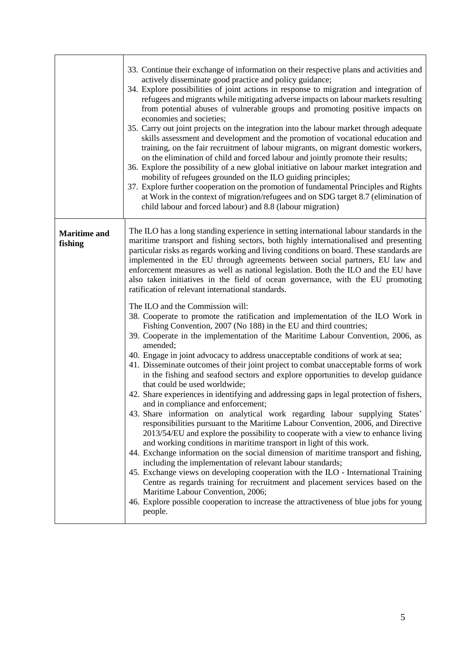|                                | 33. Continue their exchange of information on their respective plans and activities and<br>actively disseminate good practice and policy guidance;<br>34. Explore possibilities of joint actions in response to migration and integration of<br>refugees and migrants while mitigating adverse impacts on labour markets resulting<br>from potential abuses of vulnerable groups and promoting positive impacts on<br>economies and societies;<br>35. Carry out joint projects on the integration into the labour market through adequate<br>skills assessment and development and the promotion of vocational education and<br>training, on the fair recruitment of labour migrants, on migrant domestic workers,<br>on the elimination of child and forced labour and jointly promote their results;<br>36. Explore the possibility of a new global initiative on labour market integration and<br>mobility of refugees grounded on the ILO guiding principles;<br>37. Explore further cooperation on the promotion of fundamental Principles and Rights<br>at Work in the context of migration/refugees and on SDG target 8.7 (elimination of<br>child labour and forced labour) and 8.8 (labour migration)                                                                                                                                                                                                                                                                                                                                                                                                                                                                                                                                                                                                                                                                                                                                                                                                                                                                                                            |
|--------------------------------|---------------------------------------------------------------------------------------------------------------------------------------------------------------------------------------------------------------------------------------------------------------------------------------------------------------------------------------------------------------------------------------------------------------------------------------------------------------------------------------------------------------------------------------------------------------------------------------------------------------------------------------------------------------------------------------------------------------------------------------------------------------------------------------------------------------------------------------------------------------------------------------------------------------------------------------------------------------------------------------------------------------------------------------------------------------------------------------------------------------------------------------------------------------------------------------------------------------------------------------------------------------------------------------------------------------------------------------------------------------------------------------------------------------------------------------------------------------------------------------------------------------------------------------------------------------------------------------------------------------------------------------------------------------------------------------------------------------------------------------------------------------------------------------------------------------------------------------------------------------------------------------------------------------------------------------------------------------------------------------------------------------------------------------------------------------------------------------------------------------------------|
| <b>Maritime and</b><br>fishing | The ILO has a long standing experience in setting international labour standards in the<br>maritime transport and fishing sectors, both highly internationalised and presenting<br>particular risks as regards working and living conditions on board. These standards are<br>implemented in the EU through agreements between social partners, EU law and<br>enforcement measures as well as national legislation. Both the ILO and the EU have<br>also taken initiatives in the field of ocean governance, with the EU promoting<br>ratification of relevant international standards.<br>The ILO and the Commission will:<br>38. Cooperate to promote the ratification and implementation of the ILO Work in<br>Fishing Convention, 2007 (No 188) in the EU and third countries;<br>39. Cooperate in the implementation of the Maritime Labour Convention, 2006, as<br>amended;<br>40. Engage in joint advocacy to address unacceptable conditions of work at sea;<br>41. Disseminate outcomes of their joint project to combat unacceptable forms of work<br>in the fishing and seafood sectors and explore opportunities to develop guidance<br>that could be used worldwide;<br>42. Share experiences in identifying and addressing gaps in legal protection of fishers,<br>and in compliance and enforcement;<br>43. Share information on analytical work regarding labour supplying States'<br>responsibilities pursuant to the Maritime Labour Convention, 2006, and Directive<br>2013/54/EU and explore the possibility to cooperate with a view to enhance living<br>and working conditions in maritime transport in light of this work.<br>44. Exchange information on the social dimension of maritime transport and fishing,<br>including the implementation of relevant labour standards;<br>45. Exchange views on developing cooperation with the ILO - International Training<br>Centre as regards training for recruitment and placement services based on the<br>Maritime Labour Convention, 2006;<br>46. Explore possible cooperation to increase the attractiveness of blue jobs for young<br>people. |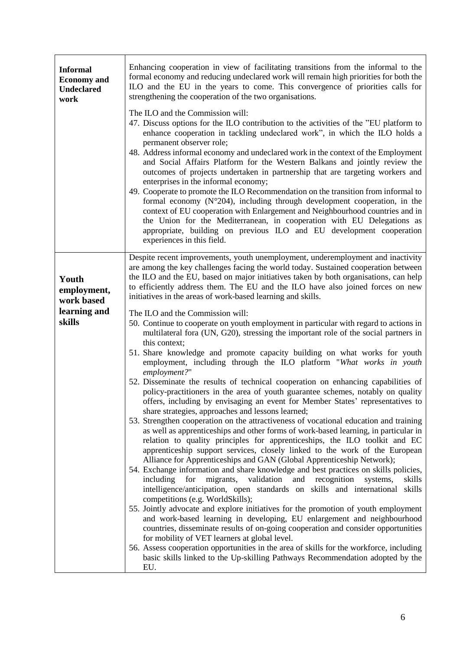| <b>Informal</b><br><b>Economy</b> and<br><b>Undeclared</b><br>work | Enhancing cooperation in view of facilitating transitions from the informal to the<br>formal economy and reducing undeclared work will remain high priorities for both the<br>ILO and the EU in the years to come. This convergence of priorities calls for<br>strengthening the cooperation of the two organisations.<br>The ILO and the Commission will:<br>47. Discuss options for the ILO contribution to the activities of the "EU platform to<br>enhance cooperation in tackling undeclared work", in which the ILO holds a<br>permanent observer role;<br>48. Address informal economy and undeclared work in the context of the Employment<br>and Social Affairs Platform for the Western Balkans and jointly review the<br>outcomes of projects undertaken in partnership that are targeting workers and<br>enterprises in the informal economy;<br>49. Cooperate to promote the ILO Recommendation on the transition from informal to<br>formal economy ( $N^{\circ}204$ ), including through development cooperation, in the<br>context of EU cooperation with Enlargement and Neighbourhood countries and in<br>the Union for the Mediterranean, in cooperation with EU Delegations as<br>appropriate, building on previous ILO and EU development cooperation<br>experiences in this field.                                                                                                                                                                                                                                                                                                                                                                                                                                                                                                                                                                                                                                                                                                                                                                                                                                                                                                                                                                                                                                                        |
|--------------------------------------------------------------------|-----------------------------------------------------------------------------------------------------------------------------------------------------------------------------------------------------------------------------------------------------------------------------------------------------------------------------------------------------------------------------------------------------------------------------------------------------------------------------------------------------------------------------------------------------------------------------------------------------------------------------------------------------------------------------------------------------------------------------------------------------------------------------------------------------------------------------------------------------------------------------------------------------------------------------------------------------------------------------------------------------------------------------------------------------------------------------------------------------------------------------------------------------------------------------------------------------------------------------------------------------------------------------------------------------------------------------------------------------------------------------------------------------------------------------------------------------------------------------------------------------------------------------------------------------------------------------------------------------------------------------------------------------------------------------------------------------------------------------------------------------------------------------------------------------------------------------------------------------------------------------------------------------------------------------------------------------------------------------------------------------------------------------------------------------------------------------------------------------------------------------------------------------------------------------------------------------------------------------------------------------------------------------------------------------------------------------------------------------------------|
| Youth<br>employment,<br>work based<br>learning and<br>skills       | Despite recent improvements, youth unemployment, underemployment and inactivity<br>are among the key challenges facing the world today. Sustained cooperation between<br>the ILO and the EU, based on major initiatives taken by both organisations, can help<br>to efficiently address them. The EU and the ILO have also joined forces on new<br>initiatives in the areas of work-based learning and skills.<br>The ILO and the Commission will:<br>50. Continue to cooperate on youth employment in particular with regard to actions in<br>multilateral fora (UN, G20), stressing the important role of the social partners in<br>this context;<br>51. Share knowledge and promote capacity building on what works for youth<br>employment, including through the ILO platform "What works in youth<br>employment?"<br>52. Disseminate the results of technical cooperation on enhancing capabilities of<br>policy-practitioners in the area of youth guarantee schemes, notably on quality<br>offers, including by envisaging an event for Member States' representatives to<br>share strategies, approaches and lessons learned;<br>53. Strengthen cooperation on the attractiveness of vocational education and training<br>as well as apprenticeships and other forms of work-based learning, in particular in<br>relation to quality principles for apprenticeships, the ILO toolkit and EC<br>apprenticeship support services, closely linked to the work of the European<br>Alliance for Apprenticeships and GAN (Global Apprenticeship Network);<br>54. Exchange information and share knowledge and best practices on skills policies,<br>validation<br>and<br>recognition<br>including<br>for<br>migrants,<br>skills<br>systems,<br>intelligence/anticipation, open standards on skills and international<br>skills<br>competitions (e.g. WorldSkills);<br>55. Jointly advocate and explore initiatives for the promotion of youth employment<br>and work-based learning in developing, EU enlargement and neighbourhood<br>countries, disseminate results of on-going cooperation and consider opportunities<br>for mobility of VET learners at global level.<br>56. Assess cooperation opportunities in the area of skills for the workforce, including<br>basic skills linked to the Up-skilling Pathways Recommendation adopted by the<br>EU. |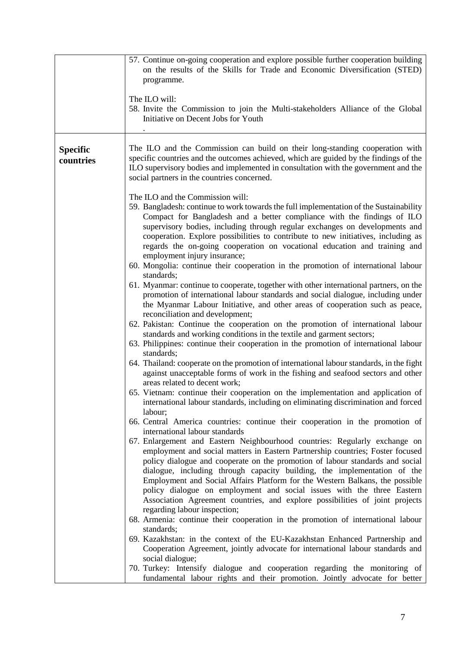|                              | 57. Continue on-going cooperation and explore possible further cooperation building<br>on the results of the Skills for Trade and Economic Diversification (STED)<br>programme.<br>The ILO will:<br>58. Invite the Commission to join the Multi-stakeholders Alliance of the Global<br>Initiative on Decent Jobs for Youth                                                                                                                                                                                                                                                  |
|------------------------------|-----------------------------------------------------------------------------------------------------------------------------------------------------------------------------------------------------------------------------------------------------------------------------------------------------------------------------------------------------------------------------------------------------------------------------------------------------------------------------------------------------------------------------------------------------------------------------|
| <b>Specific</b><br>countries | The ILO and the Commission can build on their long-standing cooperation with<br>specific countries and the outcomes achieved, which are guided by the findings of the<br>ILO supervisory bodies and implemented in consultation with the government and the<br>social partners in the countries concerned.                                                                                                                                                                                                                                                                  |
|                              | The ILO and the Commission will:<br>59. Bangladesh: continue to work towards the full implementation of the Sustainability<br>Compact for Bangladesh and a better compliance with the findings of ILO<br>supervisory bodies, including through regular exchanges on developments and<br>cooperation. Explore possibilities to contribute to new initiatives, including as<br>regards the on-going cooperation on vocational education and training and<br>employment injury insurance;<br>60. Mongolia: continue their cooperation in the promotion of international labour |
|                              | standards;<br>61. Myanmar: continue to cooperate, together with other international partners, on the<br>promotion of international labour standards and social dialogue, including under<br>the Myanmar Labour Initiative, and other areas of cooperation such as peace,<br>reconciliation and development;                                                                                                                                                                                                                                                                 |
|                              | 62. Pakistan: Continue the cooperation on the promotion of international labour<br>standards and working conditions in the textile and garment sectors;<br>63. Philippines: continue their cooperation in the promotion of international labour<br>standards;                                                                                                                                                                                                                                                                                                               |
|                              | 64. Thailand: cooperate on the promotion of international labour standards, in the fight<br>against unacceptable forms of work in the fishing and seafood sectors and other<br>areas related to decent work;                                                                                                                                                                                                                                                                                                                                                                |
|                              | 65. Vietnam: continue their cooperation on the implementation and application of<br>international labour standards, including on eliminating discrimination and forced<br>labour;                                                                                                                                                                                                                                                                                                                                                                                           |
|                              | 66. Central America countries: continue their cooperation in the promotion of<br>international labour standards<br>67. Enlargement and Eastern Neighbourhood countries: Regularly exchange on<br>employment and social matters in Eastern Partnership countries; Foster focused<br>policy dialogue and cooperate on the promotion of labour standards and social<br>dialogue, including through capacity building, the implementation of the<br>Employment and Social Affairs Platform for the Western Balkans, the possible                                                |
|                              | policy dialogue on employment and social issues with the three Eastern<br>Association Agreement countries, and explore possibilities of joint projects<br>regarding labour inspection;<br>68. Armenia: continue their cooperation in the promotion of international labour<br>standards;                                                                                                                                                                                                                                                                                    |
|                              | 69. Kazakhstan: in the context of the EU-Kazakhstan Enhanced Partnership and<br>Cooperation Agreement, jointly advocate for international labour standards and<br>social dialogue;                                                                                                                                                                                                                                                                                                                                                                                          |
|                              | 70. Turkey: Intensify dialogue and cooperation regarding the monitoring of<br>fundamental labour rights and their promotion. Jointly advocate for better                                                                                                                                                                                                                                                                                                                                                                                                                    |